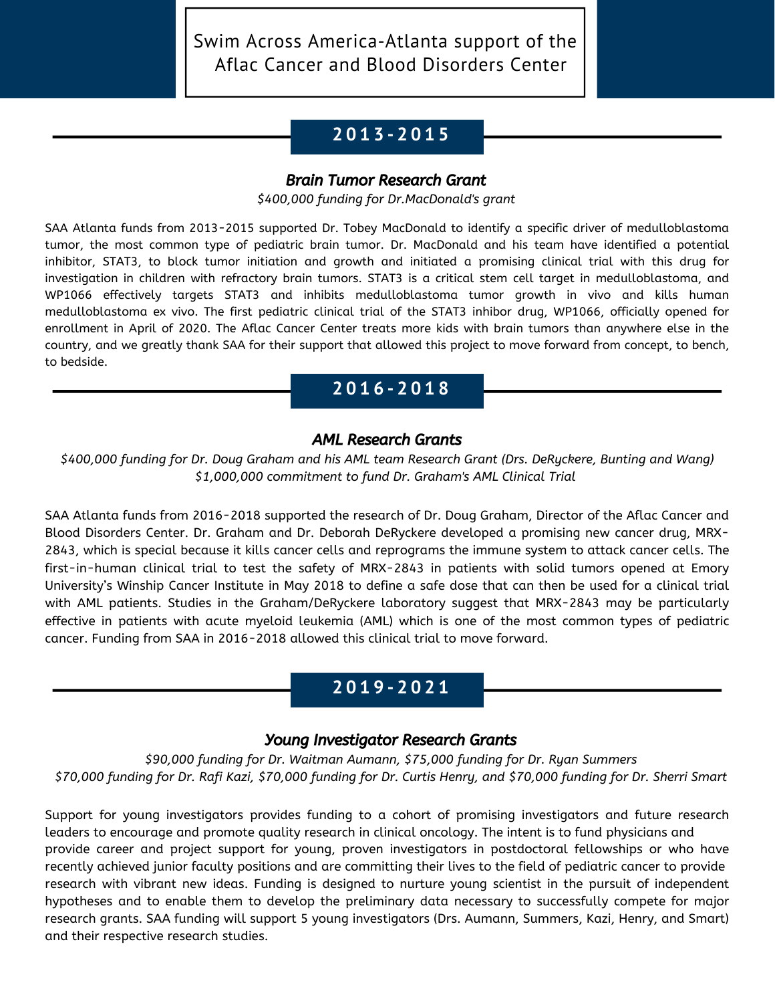Swim Across America-Atlanta support of the Aflac Cancer and Blood Disorders Center

# **C A R E - A - T H O N 2 0 1 3 - 2 0 1 5**

### Brain Tumor Research Grant

*\$400,000 funding for Dr.MacDonald's grant*

SAA Atlanta funds from 2013-2015 supported Dr. Tobey MacDonald to identify a specific driver of medulloblastoma tumor, the most common type of pediatric brain tumor. Dr. MacDonald and his team have identified a potential inhibitor, STAT3, to block tumor initiation and growth and initiated a promising clinical trial with this drug for investigation in children with refractory brain tumors. STAT3 is a critical stem cell target in medulloblastoma, and WP1066 effectively targets STAT3 and inhibits medulloblastoma tumor growth in vivo and kills human medulloblastoma ex vivo. The first pediatric clinical trial of the STAT3 inhibor drug, WP1066, officially opened for enrollment in April of 2020. The Aflac Cancer Center treats more kids with brain tumors than anywhere else in the country, and we greatly thank SAA for their support that allowed this project to move forward from concept, to bench, to bedside.

## **C A R E - A - T H O N 2 0 1 6 - 2 0 1 8**

### AML Research Grants

*\$400,000 funding for Dr. Doug Graham and his AML team Research Grant (Drs. DeRyckere, Bunting and Wang) \$1,000,000 commitment to fund Dr. Graham's AML Clinical Trial*

SAA Atlanta funds from 2016-2018 supported the research of Dr. Doug Graham, Director of the Aflac Cancer and Blood Disorders Center. Dr. Graham and Dr. Deborah DeRyckere developed a promising new cancer drug, MRX-2843, which is special because it kills cancer cells and reprograms the immune system to attack cancer cells. The first-in-human clinical trial to test the safety of MRX-2843 in patients with solid tumors opened at Emory University's Winship Cancer Institute in May 2018 to define a safe dose that can then be used for a clinical trial with AML patients. Studies in the Graham/DeRyckere laboratory suggest that MRX-2843 may be particularly effective in patients with acute myeloid leukemia (AML) which is one of the most common types of pediatric cancer. Funding from SAA in 2016-2018 allowed this clinical trial to move forward.

## **C A R E - A - T H O N 2 0 1 9 - 2 0 2 1**

### Young Investigator Research Grants

*\$90,000 funding for Dr. Waitman Aumann, \$75,000 funding for Dr. Ryan Summers* \$70,000 funding for Dr. Rafi Kazi, \$70,000 funding for Dr. Curtis Henry, and \$70,000 funding for Dr. Sherri Smart

Support for young investigators provides funding to a cohort of promising investigators and future research leaders to encourage and promote quality research in clinical oncology. The intent is to fund physicians and provide career and project support for young, proven investigators in postdoctoral fellowships or who have recently achieved junior faculty positions and are committing their lives to the field of pediatric cancer to provide research with vibrant new ideas. Funding is designed to nurture young scientist in the pursuit of independent hypotheses and to enable them to develop the preliminary data necessary to successfully compete for major research grants. SAA funding will support 5 young investigators (Drs. Aumann, Summers, Kazi, Henry, and Smart) and their respective research studies.